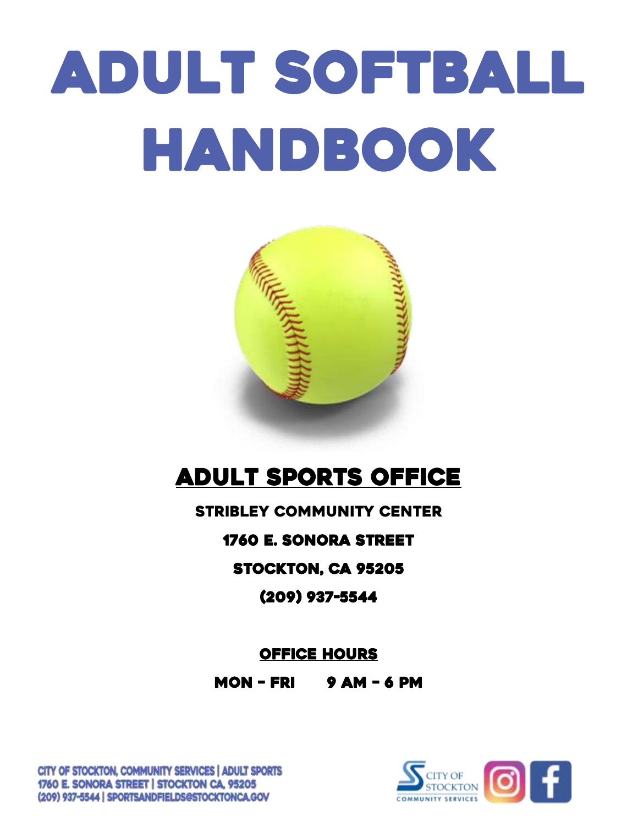# Adult Softball HANDBOOK



# ADULT SPORTS OFFICE

Stribley Community Center

1760 E. Sonora Street

Stockton, CA 95205

(209) 937-5544

OFFICE HOURS

MON – Fri 9 am – 6 pm



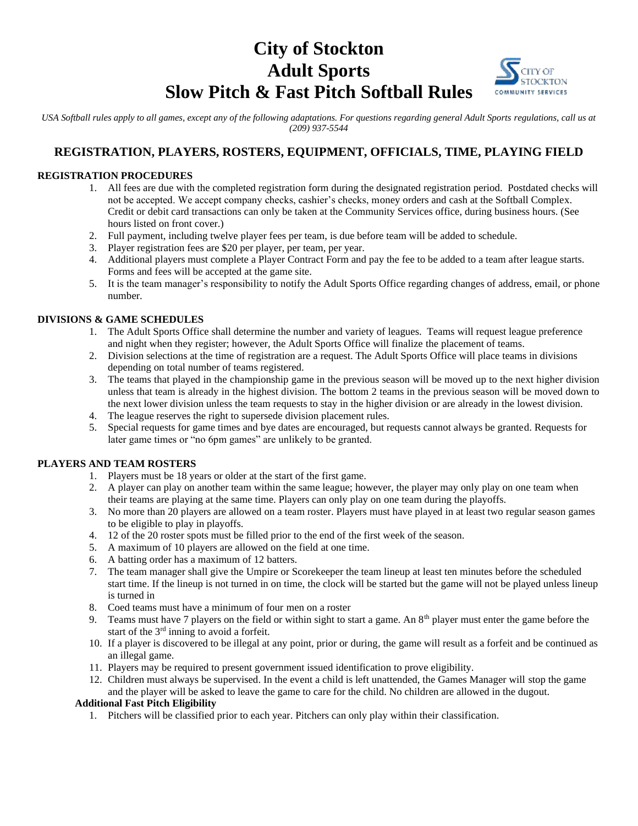# **City of Stockton Adult Sports Slow Pitch & Fast Pitch Softball Rules**



*USA Softball rules apply to all games, except any of the following adaptations. For questions regarding general Adult Sports regulations, call us at (209) 937-5544*

### **REGISTRATION, PLAYERS, ROSTERS, EQUIPMENT, OFFICIALS, TIME, PLAYING FIELD**

#### **REGISTRATION PROCEDURES**

- 1. All fees are due with the completed registration form during the designated registration period. Postdated checks will not be accepted. We accept company checks, cashier's checks, money orders and cash at the Softball Complex. Credit or debit card transactions can only be taken at the Community Services office, during business hours. (See hours listed on front cover.)
- 2. Full payment, including twelve player fees per team, is due before team will be added to schedule.
- 3. Player registration fees are \$20 per player, per team, per year.
- 4. Additional players must complete a Player Contract Form and pay the fee to be added to a team after league starts. Forms and fees will be accepted at the game site.
- 5. It is the team manager's responsibility to notify the Adult Sports Office regarding changes of address, email, or phone number.

#### **DIVISIONS & GAME SCHEDULES**

- 1. The Adult Sports Office shall determine the number and variety of leagues. Teams will request league preference and night when they register; however, the Adult Sports Office will finalize the placement of teams.
- 2. Division selections at the time of registration are a request. The Adult Sports Office will place teams in divisions depending on total number of teams registered.
- 3. The teams that played in the championship game in the previous season will be moved up to the next higher division unless that team is already in the highest division. The bottom 2 teams in the previous season will be moved down to the next lower division unless the team requests to stay in the higher division or are already in the lowest division.
- 4. The league reserves the right to supersede division placement rules.
- 5. Special requests for game times and bye dates are encouraged, but requests cannot always be granted. Requests for later game times or "no 6pm games" are unlikely to be granted.

#### **PLAYERS AND TEAM ROSTERS**

- 1. Players must be 18 years or older at the start of the first game.
- 2. A player can play on another team within the same league; however, the player may only play on one team when their teams are playing at the same time. Players can only play on one team during the playoffs.
- 3. No more than 20 players are allowed on a team roster. Players must have played in at least two regular season games to be eligible to play in playoffs.
- 4. 12 of the 20 roster spots must be filled prior to the end of the first week of the season.
- 5. A maximum of 10 players are allowed on the field at one time.
- 6. A batting order has a maximum of 12 batters.
- 7. The team manager shall give the Umpire or Scorekeeper the team lineup at least ten minutes before the scheduled start time. If the lineup is not turned in on time, the clock will be started but the game will not be played unless lineup is turned in
- 8. Coed teams must have a minimum of four men on a roster
- 9. Teams must have 7 players on the field or within sight to start a game. An 8<sup>th</sup> player must enter the game before the start of the 3<sup>rd</sup> inning to avoid a forfeit.
- 10. If a player is discovered to be illegal at any point, prior or during, the game will result as a forfeit and be continued as an illegal game.
- 11. Players may be required to present government issued identification to prove eligibility.
- 12. Children must always be supervised. In the event a child is left unattended, the Games Manager will stop the game

and the player will be asked to leave the game to care for the child. No children are allowed in the dugout.

#### **Additional Fast Pitch Eligibility**

1. Pitchers will be classified prior to each year. Pitchers can only play within their classification.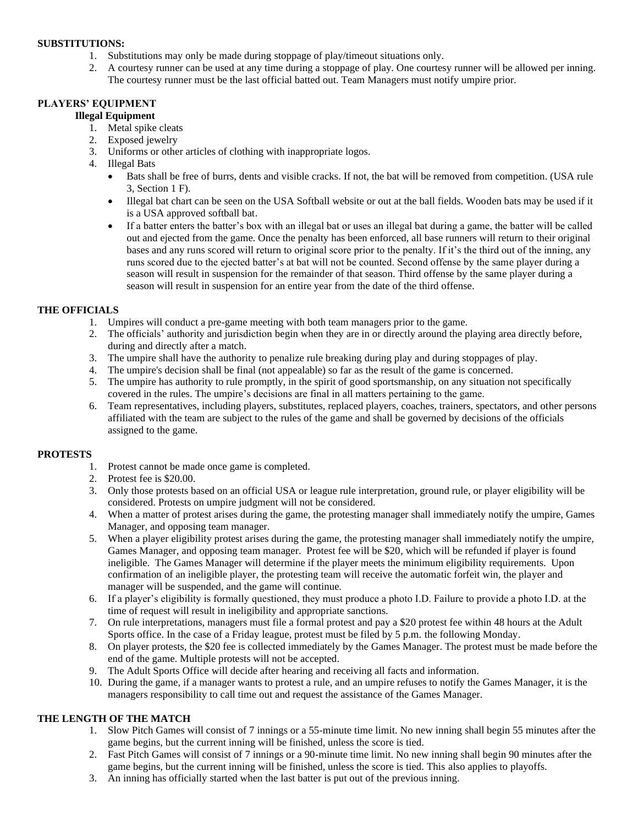#### **SUBSTITUTIONS:**

- 1. Substitutions may only be made during stoppage of play/timeout situations only.
- 2. A courtesy runner can be used at any time during a stoppage of play. One courtesy runner will be allowed per inning. The courtesy runner must be the last official batted out. Team Managers must notify umpire prior.

#### **PLAYERS' EQUIPMENT**

#### **Illegal Equipment**

- 1. Metal spike cleats
- 2. Exposed jewelry
- 3. Uniforms or other articles of clothing with inappropriate logos.
- 4. Illegal Bats
	- Bats shall be free of burrs, dents and visible cracks. If not, the bat will be removed from competition. (USA rule 3, Section 1 F).
	- Illegal bat chart can be seen on the USA Softball website or out at the ball fields. Wooden bats may be used if it is a USA approved softball bat.
	- If a batter enters the batter's box with an illegal bat or uses an illegal bat during a game, the batter will be called out and ejected from the game. Once the penalty has been enforced, all base runners will return to their original bases and any runs scored will return to original score prior to the penalty. If it's the third out of the inning, any runs scored due to the ejected batter's at bat will not be counted. Second offense by the same player during a season will result in suspension for the remainder of that season. Third offense by the same player during a season will result in suspension for an entire year from the date of the third offense.

#### **THE OFFICIALS**

- 1. Umpires will conduct a pre-game meeting with both team managers prior to the game.
- 2. The officials' authority and jurisdiction begin when they are in or directly around the playing area directly before, during and directly after a match.
- 3. The umpire shall have the authority to penalize rule breaking during play and during stoppages of play.
- 4. The umpire's decision shall be final (not appealable) so far as the result of the game is concerned.
- 5. The umpire has authority to rule promptly, in the spirit of good sportsmanship, on any situation not specifically covered in the rules. The umpire's decisions are final in all matters pertaining to the game.
- 6. Team representatives, including players, substitutes, replaced players, coaches, trainers, spectators, and other persons affiliated with the team are subject to the rules of the game and shall be governed by decisions of the officials assigned to the game.

#### **PROTESTS**

- 1. Protest cannot be made once game is completed.
- 2. Protest fee is \$20.00.
- 3. Only those protests based on an official USA or league rule interpretation, ground rule, or player eligibility will be considered. Protests on umpire judgment will not be considered.
- 4. When a matter of protest arises during the game, the protesting manager shall immediately notify the umpire, Games Manager, and opposing team manager.
- 5. When a player eligibility protest arises during the game, the protesting manager shall immediately notify the umpire, Games Manager, and opposing team manager. Protest fee will be \$20, which will be refunded if player is found ineligible. The Games Manager will determine if the player meets the minimum eligibility requirements. Upon confirmation of an ineligible player, the protesting team will receive the automatic forfeit win, the player and manager will be suspended, and the game will continue.
- 6. If a player's eligibility is formally questioned, they must produce a photo I.D. Failure to provide a photo I.D. at the time of request will result in ineligibility and appropriate sanctions.
- 7. On rule interpretations, managers must file a formal protest and pay a \$20 protest fee within 48 hours at the Adult Sports office. In the case of a Friday league, protest must be filed by 5 p.m. the following Monday.
- 8. On player protests, the \$20 fee is collected immediately by the Games Manager. The protest must be made before the end of the game. Multiple protests will not be accepted.
- 9. The Adult Sports Office will decide after hearing and receiving all facts and information.
- 10. During the game, if a manager wants to protest a rule, and an umpire refuses to notify the Games Manager, it is the managers responsibility to call time out and request the assistance of the Games Manager.

#### **THE LENGTH OF THE MATCH**

- 1. Slow Pitch Games will consist of 7 innings or a 55-minute time limit. No new inning shall begin 55 minutes after the game begins, but the current inning will be finished, unless the score is tied.
- 2. Fast Pitch Games will consist of 7 innings or a 90-minute time limit. No new inning shall begin 90 minutes after the game begins, but the current inning will be finished, unless the score is tied. This also applies to playoffs.
- 3. An inning has officially started when the last batter is put out of the previous inning.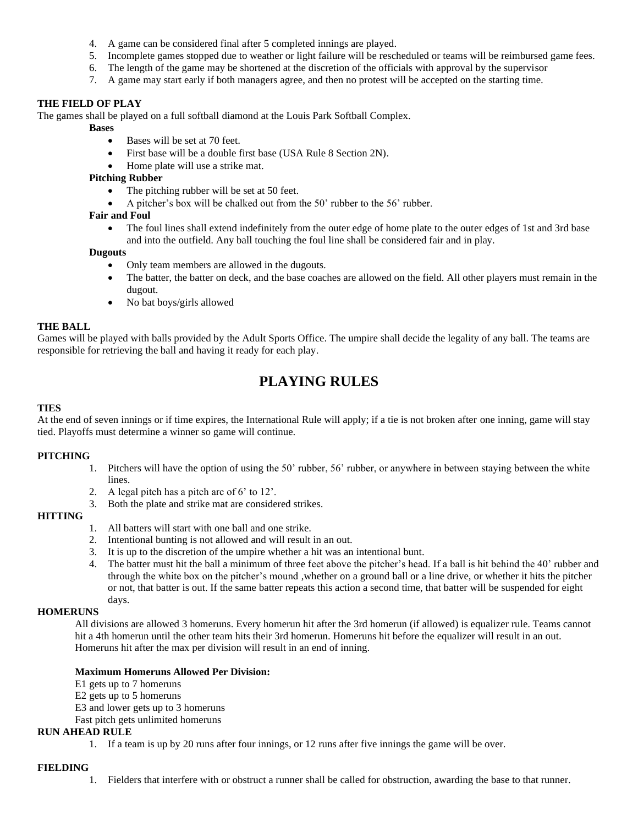- 4. A game can be considered final after 5 completed innings are played.
- 5. Incomplete games stopped due to weather or light failure will be rescheduled or teams will be reimbursed game fees.
- 6. The length of the game may be shortened at the discretion of the officials with approval by the supervisor
- 7. A game may start early if both managers agree, and then no protest will be accepted on the starting time.

#### **THE FIELD OF PLAY**

The games shall be played on a full softball diamond at the Louis Park Softball Complex.

- **Bases**
	- Bases will be set at 70 feet.
	- First base will be a double first base (USA Rule 8 Section 2N).
	- Home plate will use a strike mat.

#### **Pitching Rubber**

- The pitching rubber will be set at 50 feet.
- A pitcher's box will be chalked out from the 50' rubber to the 56' rubber.

#### **Fair and Foul**

• The foul lines shall extend indefinitely from the outer edge of home plate to the outer edges of 1st and 3rd base and into the outfield. Any ball touching the foul line shall be considered fair and in play.

#### **Dugouts**

- Only team members are allowed in the dugouts.
- The batter, the batter on deck, and the base coaches are allowed on the field. All other players must remain in the dugout.
- No bat boys/girls allowed

#### **THE BALL**

Games will be played with balls provided by the Adult Sports Office. The umpire shall decide the legality of any ball. The teams are responsible for retrieving the ball and having it ready for each play.

# **PLAYING RULES**

#### **TIES**

At the end of seven innings or if time expires, the International Rule will apply; if a tie is not broken after one inning, game will stay tied. Playoffs must determine a winner so game will continue.

#### **PITCHING**

- 1. Pitchers will have the option of using the 50' rubber, 56' rubber, or anywhere in between staying between the white lines.
- 2. A legal pitch has a pitch arc of 6' to 12'.
- 3. Both the plate and strike mat are considered strikes.

#### **HITTING**

- 1. All batters will start with one ball and one strike.
- 2. Intentional bunting is not allowed and will result in an out.
- 3. It is up to the discretion of the umpire whether a hit was an intentional bunt.
- 4. The batter must hit the ball a minimum of three feet above the pitcher's head. If a ball is hit behind the 40' rubber and through the white box on the pitcher's mound ,whether on a ground ball or a line drive, or whether it hits the pitcher or not, that batter is out. If the same batter repeats this action a second time, that batter will be suspended for eight days.

#### **HOMERUNS**

All divisions are allowed 3 homeruns. Every homerun hit after the 3rd homerun (if allowed) is equalizer rule. Teams cannot hit a 4th homerun until the other team hits their 3rd homerun. Homeruns hit before the equalizer will result in an out. Homeruns hit after the max per division will result in an end of inning.

#### **Maximum Homeruns Allowed Per Division:**

E1 gets up to 7 homeruns

E2 gets up to 5 homeruns

E3 and lower gets up to 3 homeruns

Fast pitch gets unlimited homeruns

#### **RUN AHEAD RULE**

1. If a team is up by 20 runs after four innings, or 12 runs after five innings the game will be over.

#### **FIELDING**

1. Fielders that interfere with or obstruct a runner shall be called for obstruction, awarding the base to that runner.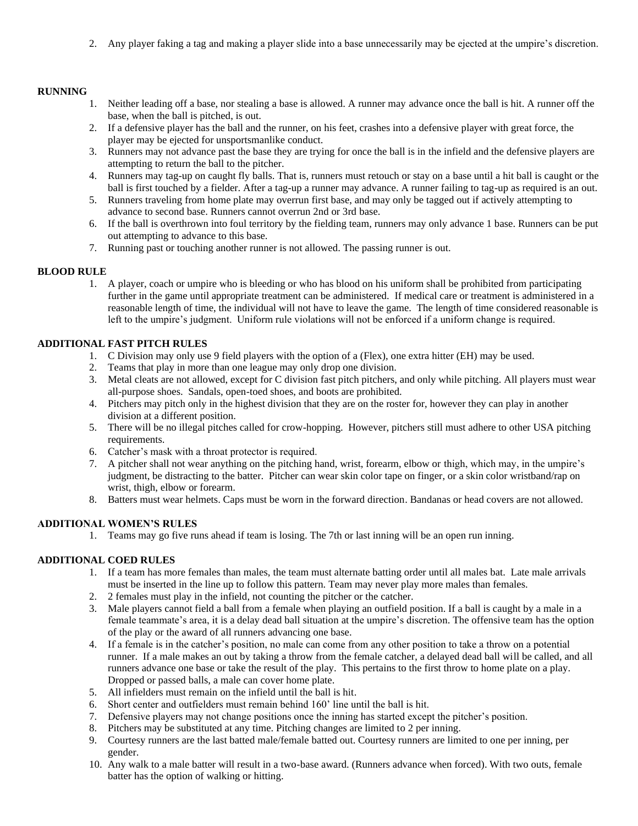2. Any player faking a tag and making a player slide into a base unnecessarily may be ejected at the umpire's discretion.

#### **RUNNING**

- 1. Neither leading off a base, nor stealing a base is allowed. A runner may advance once the ball is hit. A runner off the base, when the ball is pitched, is out.
- 2. If a defensive player has the ball and the runner, on his feet, crashes into a defensive player with great force, the player may be ejected for unsportsmanlike conduct.
- 3. Runners may not advance past the base they are trying for once the ball is in the infield and the defensive players are attempting to return the ball to the pitcher.
- 4. Runners may tag-up on caught fly balls. That is, runners must retouch or stay on a base until a hit ball is caught or the ball is first touched by a fielder. After a tag-up a runner may advance. A runner failing to tag-up as required is an out.
- 5. Runners traveling from home plate may overrun first base, and may only be tagged out if actively attempting to advance to second base. Runners cannot overrun 2nd or 3rd base.
- 6. If the ball is overthrown into foul territory by the fielding team, runners may only advance 1 base. Runners can be put out attempting to advance to this base.
- 7. Running past or touching another runner is not allowed. The passing runner is out.

#### **BLOOD RULE**

1. A player, coach or umpire who is bleeding or who has blood on his uniform shall be prohibited from participating further in the game until appropriate treatment can be administered. If medical care or treatment is administered in a reasonable length of time, the individual will not have to leave the game. The length of time considered reasonable is left to the umpire's judgment. Uniform rule violations will not be enforced if a uniform change is required.

#### **ADDITIONAL FAST PITCH RULES**

- 1. C Division may only use 9 field players with the option of a (Flex), one extra hitter (EH) may be used.
- 2. Teams that play in more than one league may only drop one division.
- 3. Metal cleats are not allowed, except for C division fast pitch pitchers, and only while pitching. All players must wear all-purpose shoes. Sandals, open-toed shoes, and boots are prohibited.
- 4. Pitchers may pitch only in the highest division that they are on the roster for, however they can play in another division at a different position.
- 5. There will be no illegal pitches called for crow-hopping. However, pitchers still must adhere to other USA pitching requirements.
- 6. Catcher's mask with a throat protector is required.
- 7. A pitcher shall not wear anything on the pitching hand, wrist, forearm, elbow or thigh, which may, in the umpire's judgment, be distracting to the batter. Pitcher can wear skin color tape on finger, or a skin color wristband/rap on wrist, thigh, elbow or forearm.
- 8. Batters must wear helmets. Caps must be worn in the forward direction. Bandanas or head covers are not allowed.

#### **ADDITIONAL WOMEN'S RULES**

1. Teams may go five runs ahead if team is losing. The 7th or last inning will be an open run inning.

#### **ADDITIONAL COED RULES**

- 1. If a team has more females than males, the team must alternate batting order until all males bat. Late male arrivals must be inserted in the line up to follow this pattern. Team may never play more males than females.
- 2. 2 females must play in the infield, not counting the pitcher or the catcher.
- 3. Male players cannot field a ball from a female when playing an outfield position. If a ball is caught by a male in a female teammate's area, it is a delay dead ball situation at the umpire's discretion. The offensive team has the option of the play or the award of all runners advancing one base.
- 4. If a female is in the catcher's position, no male can come from any other position to take a throw on a potential runner. If a male makes an out by taking a throw from the female catcher, a delayed dead ball will be called, and all runners advance one base or take the result of the play. This pertains to the first throw to home plate on a play. Dropped or passed balls, a male can cover home plate.
- 5. All infielders must remain on the infield until the ball is hit.
- 6. Short center and outfielders must remain behind 160' line until the ball is hit.
- 7. Defensive players may not change positions once the inning has started except the pitcher's position.
- 8. Pitchers may be substituted at any time. Pitching changes are limited to 2 per inning.
- 9. Courtesy runners are the last batted male/female batted out. Courtesy runners are limited to one per inning, per gender.
- 10. Any walk to a male batter will result in a two-base award. (Runners advance when forced). With two outs, female batter has the option of walking or hitting.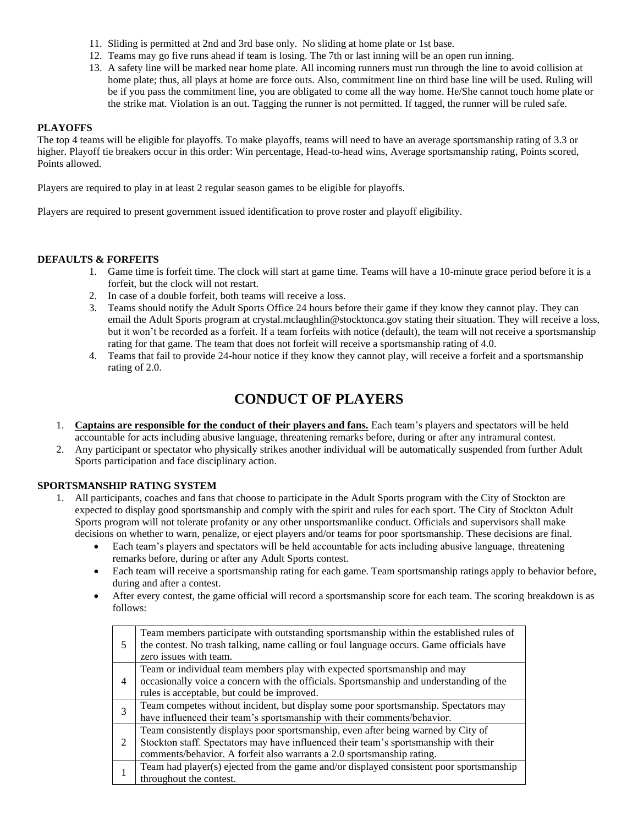- 11. Sliding is permitted at 2nd and 3rd base only. No sliding at home plate or 1st base.
- 12. Teams may go five runs ahead if team is losing. The 7th or last inning will be an open run inning.
- 13. A safety line will be marked near home plate. All incoming runners must run through the line to avoid collision at home plate; thus, all plays at home are force outs. Also, commitment line on third base line will be used. Ruling will be if you pass the commitment line, you are obligated to come all the way home. He/She cannot touch home plate or the strike mat. Violation is an out. Tagging the runner is not permitted. If tagged, the runner will be ruled safe.

#### **PLAYOFFS**

The top 4 teams will be eligible for playoffs. To make playoffs, teams will need to have an average sportsmanship rating of 3.3 or higher. Playoff tie breakers occur in this order: Win percentage, Head-to-head wins, Average sportsmanship rating, Points scored, Points allowed.

Players are required to play in at least 2 regular season games to be eligible for playoffs.

Players are required to present government issued identification to prove roster and playoff eligibility.

#### **DEFAULTS & FORFEITS**

- 1. Game time is forfeit time. The clock will start at game time. Teams will have a 10-minute grace period before it is a forfeit, but the clock will not restart.
- 2. In case of a double forfeit, both teams will receive a loss.
- 3. Teams should notify the Adult Sports Office 24 hours before their game if they know they cannot play. They can email the Adult Sports program at crystal.mclaughlin@stocktonca.gov stating their situation. They will receive a loss, but it won't be recorded as a forfeit. If a team forfeits with notice (default), the team will not receive a sportsmanship rating for that game. The team that does not forfeit will receive a sportsmanship rating of 4.0.
- 4. Teams that fail to provide 24-hour notice if they know they cannot play, will receive a forfeit and a sportsmanship rating of 2.0.

## **CONDUCT OF PLAYERS**

- 1. **Captains are responsible for the conduct of their players and fans.** Each team's players and spectators will be held accountable for acts including abusive language, threatening remarks before, during or after any intramural contest.
- 2. Any participant or spectator who physically strikes another individual will be automatically suspended from further Adult Sports participation and face disciplinary action.

#### **SPORTSMANSHIP RATING SYSTEM**

- 1. All participants, coaches and fans that choose to participate in the Adult Sports program with the City of Stockton are expected to display good sportsmanship and comply with the spirit and rules for each sport. The City of Stockton Adult Sports program will not tolerate profanity or any other unsportsmanlike conduct. Officials and supervisors shall make decisions on whether to warn, penalize, or eject players and/or teams for poor sportsmanship. These decisions are final.
	- Each team's players and spectators will be held accountable for acts including abusive language, threatening remarks before, during or after any Adult Sports contest.
	- Each team will receive a sportsmanship rating for each game. Team sportsmanship ratings apply to behavior before, during and after a contest.
	- After every contest, the game official will record a sportsmanship score for each team. The scoring breakdown is as follows:

|                | Team members participate with outstanding sportsmanship within the established rules of<br>the contest. No trash talking, name calling or foul language occurs. Game officials have<br>zero issues with team. |
|----------------|---------------------------------------------------------------------------------------------------------------------------------------------------------------------------------------------------------------|
| $\overline{4}$ | Team or individual team members play with expected sportsmanship and may<br>occasionally voice a concern with the officials. Sportsmanship and understanding of the                                           |
|                | rules is acceptable, but could be improved.                                                                                                                                                                   |
|                | Team competes without incident, but display some poor sportsmanship. Spectators may                                                                                                                           |
|                | have influenced their team's sportsmanship with their comments/behavior.                                                                                                                                      |
| 2              | Team consistently displays poor sportsmanship, even after being warned by City of                                                                                                                             |
|                | Stockton staff. Spectators may have influenced their team's sportsmanship with their                                                                                                                          |
|                | comments/behavior. A forfeit also warrants a 2.0 sportsmanship rating.                                                                                                                                        |
|                | Team had player(s) ejected from the game and/or displayed consistent poor sportsmanship                                                                                                                       |
|                | throughout the contest.                                                                                                                                                                                       |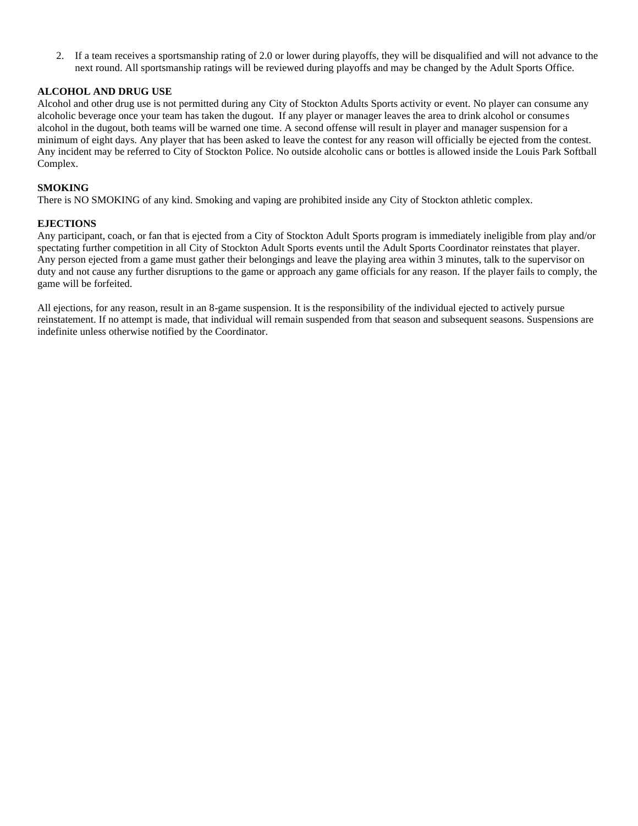2. If a team receives a sportsmanship rating of 2.0 or lower during playoffs, they will be disqualified and will not advance to the next round. All sportsmanship ratings will be reviewed during playoffs and may be changed by the Adult Sports Office.

#### **ALCOHOL AND DRUG USE**

Alcohol and other drug use is not permitted during any City of Stockton Adults Sports activity or event. No player can consume any alcoholic beverage once your team has taken the dugout. If any player or manager leaves the area to drink alcohol or consumes alcohol in the dugout, both teams will be warned one time. A second offense will result in player and manager suspension for a minimum of eight days. Any player that has been asked to leave the contest for any reason will officially be ejected from the contest. Any incident may be referred to City of Stockton Police. No outside alcoholic cans or bottles is allowed inside the Louis Park Softball Complex.

#### **SMOKING**

There is NO SMOKING of any kind. Smoking and vaping are prohibited inside any City of Stockton athletic complex.

#### **EJECTIONS**

Any participant, coach, or fan that is ejected from a City of Stockton Adult Sports program is immediately ineligible from play and/or spectating further competition in all City of Stockton Adult Sports events until the Adult Sports Coordinator reinstates that player. Any person ejected from a game must gather their belongings and leave the playing area within 3 minutes, talk to the supervisor on duty and not cause any further disruptions to the game or approach any game officials for any reason. If the player fails to comply, the game will be forfeited.

All ejections, for any reason, result in an 8-game suspension. It is the responsibility of the individual ejected to actively pursue reinstatement. If no attempt is made, that individual will remain suspended from that season and subsequent seasons. Suspensions are indefinite unless otherwise notified by the Coordinator.